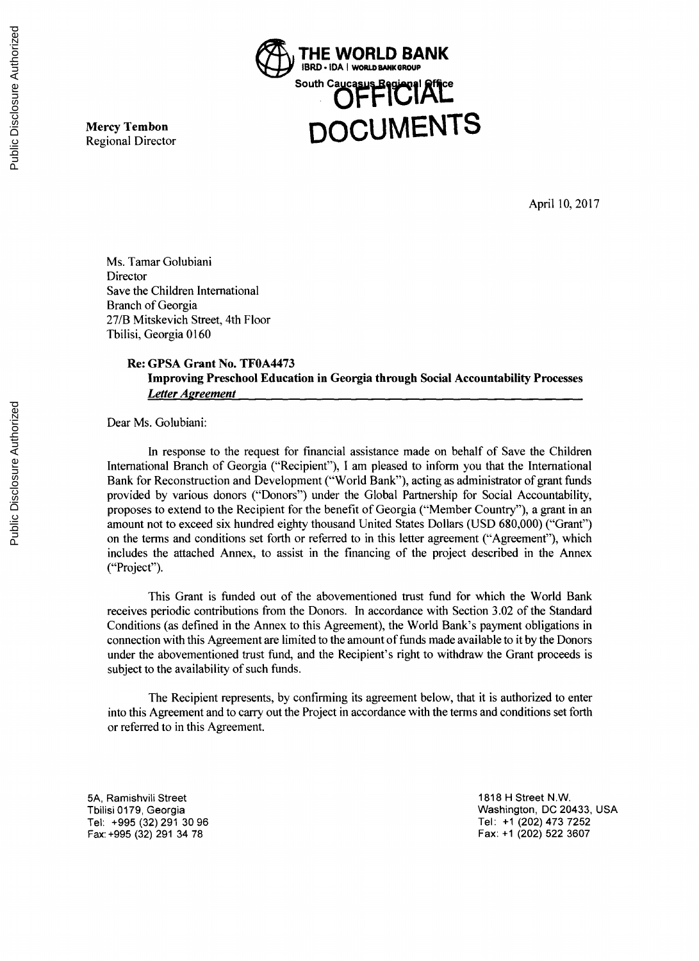

**Mercy Tembon**<br>Regional Director

April **10, 2017**

Ms. Tamar Golubiani Director Save the Children International Branch of Georgia **27/B** Mitskevich Street, 4th Floor Tbilisi, Georgia **0160**

# **Re: GPSA Grant** No. **TF0A4473 Improving Preschool Education in Georgia through Social Accountability** Processes *Letter Agreement*

Dear Ms. Golubiani:

In response to the request for financial assistance made on behalf of Save the Children International Branch of Georgia ("Recipient"), **I** am pleased to inform you that the International Bank for Reconstruction and Development ("World Bank"), acting as administrator of grant funds provided **by** various donors ("Donors") under the Global Partnership for Social Accountability, proposes to extend to the Recipient for the benefit of Georgia ("Member Country"), a grant in an amount not to exceed six hundred eighty thousand United States Dollars **(USD 680,000)** ("Grant") on the terms and conditions set forth or referred to in this letter agreement ("Agreement"), which includes the attached Annex, to assist in the financing of the project described in the Annex ("Project").

This Grant is funded out of the abovementioned trust fund for which the World Bank receives periodic contributions from the Donors. In accordance with Section **3.02** of the Standard Conditions (as defined in the Annex to this Agreement), the World Bank's payment obligations in connection with this Agreement are limited to the amount of funds made available to it **by** the Donors under the abovementioned trust fund, and the Recipient's right to withdraw the Grant proceeds is subject to the availability of such funds.

The Recipient represents, **by** confirming its agreement below, that it is authorized to enter into this Agreement and to carry out the Project in accordance with the terms and conditions set forth or referred to in this Agreement.

**5A,** Ramishvili Street **1818** H Street N.W. Tel: **+995 (32) 291 30 96** Tel: **+1** (202) 473 **<sup>7252</sup>**

Tbilisi **0179,** Georgia Washington, **DC** 20433, **USA** Fax: **+995 (32) 291** 34 **78** Fax: **+1** (202) **522 3607**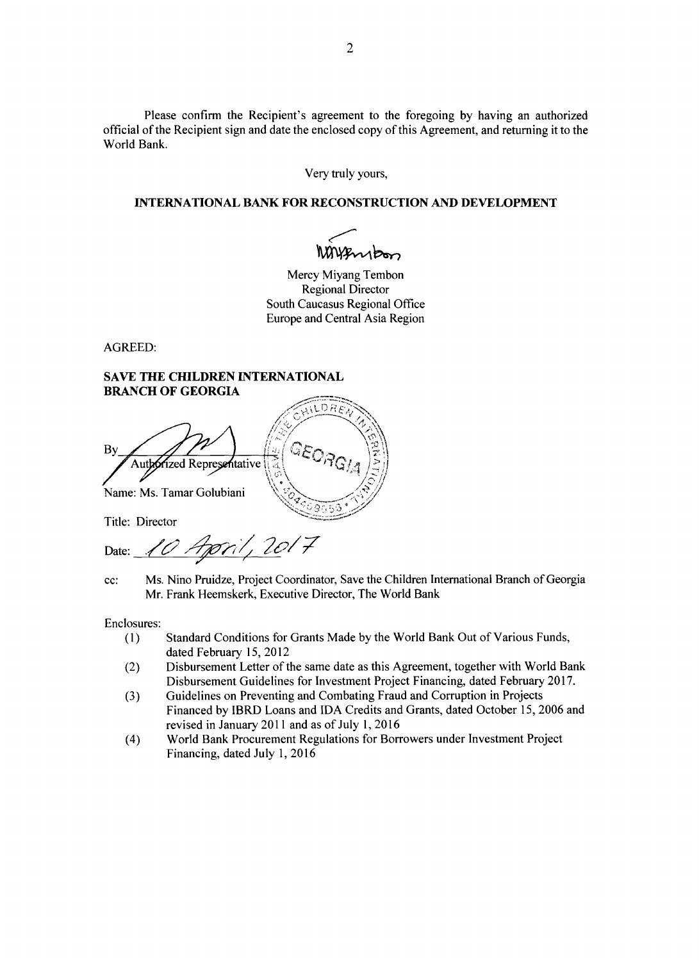Please confirm the Recipient's agreement to the foregoing **by** having an authorized official of the Recipient sign and date the enclosed copy of this Agreement, and returning it to the World Bank.

Very truly yours,

#### **INTERNATIONAL BANK FOR RECONSTRUCTION AND DEVELOPMENT**

Mayensbon

Mercy Miyang Tembon Regional Director South Caucasus Regional Office Europe and Central Asia Region

AGREED:

## **SAVE THE CHILDREN INTERNATIONAL BRANCH OF GEORGIA**

DRË **By** Authorized Representative Name: Ms. Tamar Golubiani

Title: Director

Date: 10 Appril, 2017

**cc:** Ms. Nino Pruidze, Project Coordinator, Save the Children International Branch of Georgia Mr. Frank Heemskerk, Executive Director, The World Bank

Enclosures:<br>(1)

- **(1)** Standard Conditions for Grants Made **by** the World Bank Out of Various Funds, dated February **15,** 2012
- (2) Disbursement Letter of the same date as this Agreement, together with World Bank Disbursement Guidelines for Investment Project Financing, dated February **2017.**
- **(3)** Guidelines on Preventing and Combating Fraud and Corruption in Projects Financed **by** IBRD Loans and **IDA** Credits and Grants, dated October **15, 2006** and revised in January 2011 and as of July **1, 2016**
- (4) World Bank Procurement Regulations for Borrowers under Investment Project Financing, dated July **1, 2016**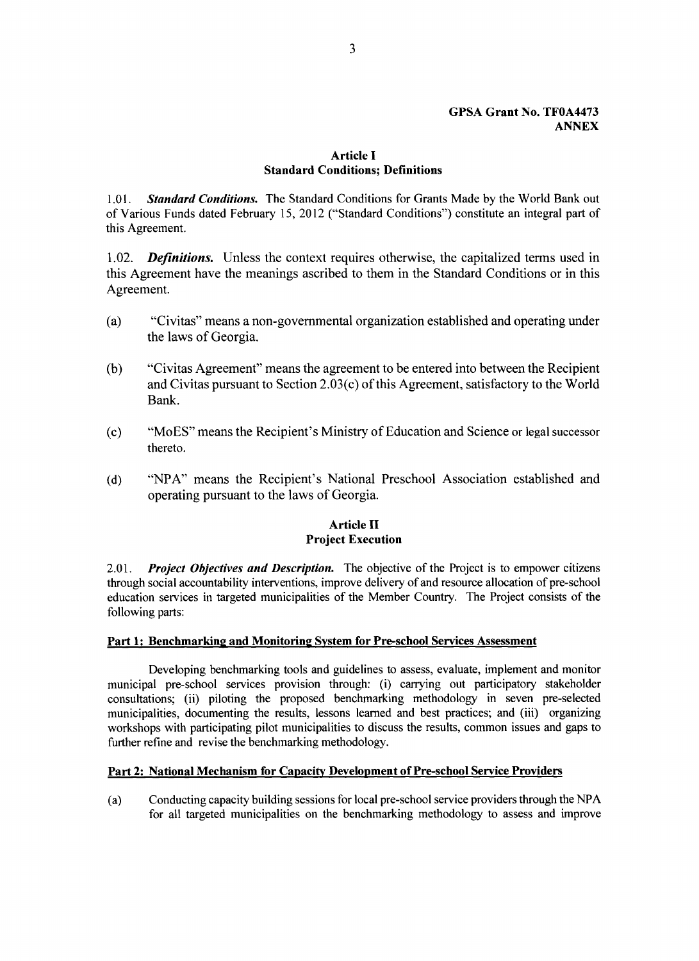#### **GPSA Grant** No. **TF0A4473 ANNEX**

# **Article I Standard Conditions; Definitions**

**1.01.** *Standard Conditions.* The Standard Conditions for Grants Made **by** the World Bank out of Various Funds dated February **15,** 2012 ("Standard Conditions") constitute an integral part of this Agreement.

*1.02. Definitions.* Unless the context requires otherwise, the capitalized terms used in this Agreement have the meanings ascribed to them in the Standard Conditions or in this Agreement.

- (a) "Civitas" means a non-governmental organization established and operating under the laws of Georgia.
- **(b)** "Civitas Agreement" means the agreement to be entered into between the Recipient and Civitas pursuant to Section 2.03(c) of this Agreement, satisfactory to the World Bank.
- (c) "MoES" means the Recipient's Ministry of Education and Science or legal successor thereto.
- **(d) "NPA"** means the Recipient's National Preschool Association established and operating pursuant to the laws of Georgia.

# **Article II Project Execution**

2.01. *Project Objectives and Description.* The objective of the Project is to empower citizens through social accountability interventions, improve delivery of and resource allocation of pre-school education services in targeted municipalities of the Member Country. The Project consists of the following parts:

## Part 1: Benchmarking and Monitoring System for Pre-school Services Assessment

Developing benchmarking tools and guidelines to assess, evaluate, implement and monitor municipal pre-school services provision through: (i) carrying out participatory stakeholder consultations; (ii) piloting the proposed benchmarking methodology in seven pre-selected municipalities, documenting the results, lessons learned and best practices; and (iii) organizing workshops with participating pilot municipalities to discuss the results, common issues and gaps to further refine and revise the benchmarking methodology.

## **Part 2: National Mechanism for Capacity Development of Pre-school Service Providers**

(a) Conducting capacity building sessions for local pre-school service providers through the **NPA** for all targeted municipalities on the benchmarking methodology to assess and improve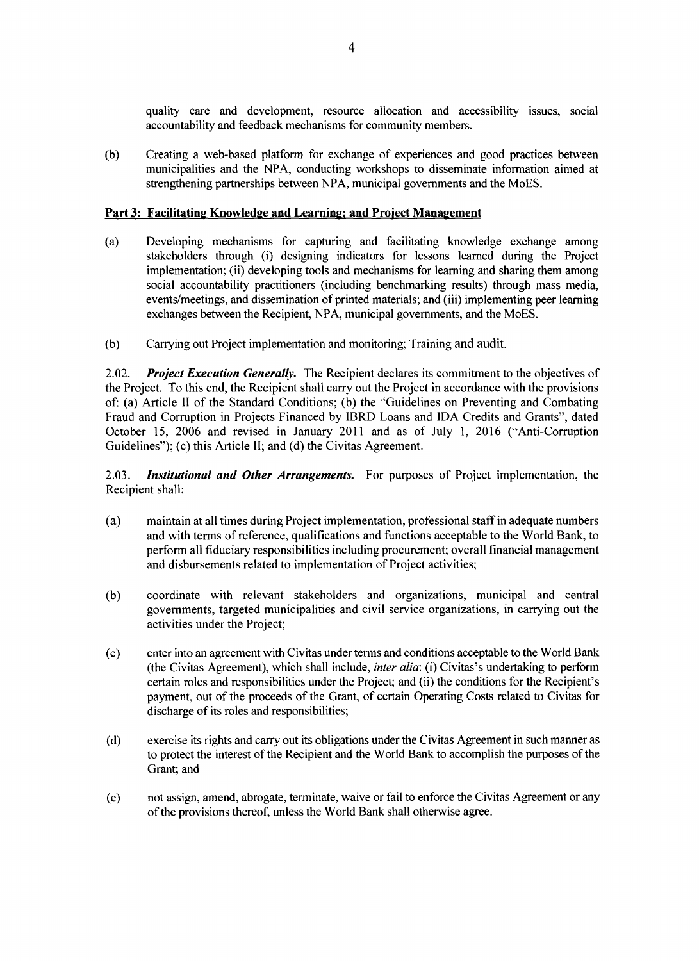quality care and development, resource allocation and accessibility issues, social accountability and feedback mechanisms for community members.

**(b)** Creating a web-based platform for exchange of experiences and good practices between municipalities and the **NPA,** conducting workshops to disseminate information aimed at strengthening partnerships between **NPA,** municipal governments and the MoES.

## **Part 3: Facilitating Knowledge and Learning; and Project Management**

- **(a)** Developing mechanisms for capturing and facilitating knowledge exchange among stakeholders through (i) designing indicators for lessons learned during the Project implementation; (ii) developing tools and mechanisms for learning and sharing them among social accountability practitioners (including benchmarking results) through mass media, events/meetings, and dissemination of printed materials; and (iii) implementing peer learning exchanges between the Recipient, **NPA,** municipal governments, and the MoES.
- **(b)** Carrying out Project implementation and monitoring; Training and audit.

2.02. *Project Execution Generally.* The Recipient declares its commitment to the objectives of the Project. To this end, the Recipient shall carry out the Project in accordance with the provisions of: (a) Article **11** of the Standard Conditions; **(b)** the "Guidelines on Preventing and Combating Fraud and Corruption in Projects Financed **by** IBRD Loans and **IDA** Credits and Grants", dated October **15, 2006** and revised in January 2011 and as of July **1, 2016** ("Anti-Corruption Guidelines"); (c) this Article **II;** and **(d)** the Civitas Agreement.

**2.03.** *Institutional and Other Arrangements.* For purposes of Project implementation, the Recipient shall:

- (a) maintain at all times during Project implementation, professional staff in adequate numbers and with terms of reference, qualifications and functions acceptable to the World Bank, to perform all fiduciary responsibilities including procurement; overall financial management and disbursements related to implementation of Project activities;
- **(b)** coordinate with relevant stakeholders and organizations, municipal and central governments, targeted municipalities and civil service organizations, in carrying out the activities under the Project;
- **(c)** enter into an agreement with Civitas under terms and conditions acceptable to the World Bank (the Civitas Agreement), which shall include, *inter alia:* (i) Civitas's undertaking to perform certain roles and responsibilities under the Project; and (ii) the conditions for the Recipient's payment, out of the proceeds of the Grant, of certain Operating Costs related to Civitas for discharge of its roles and responsibilities;
- **(d)** exercise its rights and carry out its obligations under the Civitas Agreement in such manner as to protect the interest of the Recipient and the World Bank to accomplish the purposes of the Grant; and
- (e) not assign, amend, abrogate, terminate, waive or fail to enforce the Civitas Agreement or any of the provisions thereof, unless the World Bank shall otherwise agree.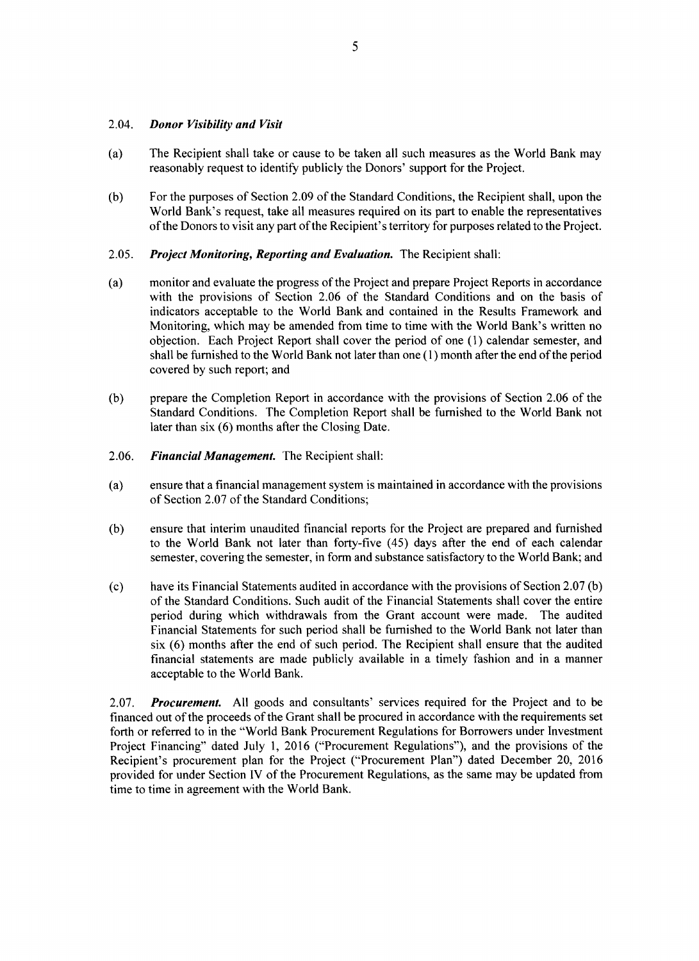#### 2.04. *Donor Visibility and Visit*

- (a) The Recipient shall take or cause to be taken all such measures as the World Bank may reasonably request to identify publicly the Donors' support for the Project.
- **(b)** For the purposes of Section **2.09** of the Standard Conditions, the Recipient shall, upon the World Bank's request, take all measures required on its part to enable the representatives of the Donors to visit any part of the Recipient's territory for purposes related to the Project.
- **2.05.** *Project Monitoring, Reporting and Evaluation.* The Recipient shall:
- (a) monitor and evaluate the progress of the Project and prepare Project Reports in accordance with the provisions of Section **2.06** of the Standard Conditions and on the basis of indicators acceptable to the World Bank and contained in the Results Framework and Monitoring, which may be amended from time to time with the World Bank's written no objection. Each Project Report shall cover the period of one **(1)** calendar semester, and shall be furnished to the World Bank not later than one **(1)** month after the end of the period covered **by** such report; and
- **(b)** prepare the Completion Report in accordance with the provisions of Section **2.06** of the Standard Conditions. The Completion Report shall be furnished to the World Bank not later than six **(6)** months after the Closing Date.
- **2.06.** *Financial Management.* The Recipient shall:
- (a) ensure that a financial management system is maintained in accordance with the provisions of Section **2.07** of the Standard Conditions;
- **(b)** ensure that interim unaudited financial reports for the Project are prepared and furnished to the World Bank not later than forty-five (45) days after the end of each calendar semester, covering the semester, in form and substance satisfactory to the World Bank; and
- **(c)** have its Financial Statements audited in accordance with the provisions of Section **2.07 (b)** of the Standard Conditions. Such audit of the Financial Statements shall cover the entire period during which withdrawals from the Grant account were made. The audited Financial Statements for such period shall be furnished to the World Bank not later than six **(6)** months after the end of such period. The Recipient shall ensure that the audited financial statements are made publicly available in a timely fashion and in a manner acceptable to the World Bank.

**2.07.** *Procurement.* **All** goods and consultants' services required for the Project and to be financed out of the proceeds of the Grant shall be procured in accordance with the requirements set forth or referred to in the "World Bank Procurement Regulations for Borrowers under Investment Project Financing" dated July **1, 2016** ("Procurement Regulations"), and the provisions of the Recipient's procurement plan for the Project ("Procurement Plan") dated December 20, **<sup>2016</sup>** provided for under Section IV of the Procurement Regulations, as the same may be updated from time to time in agreement with the World Bank.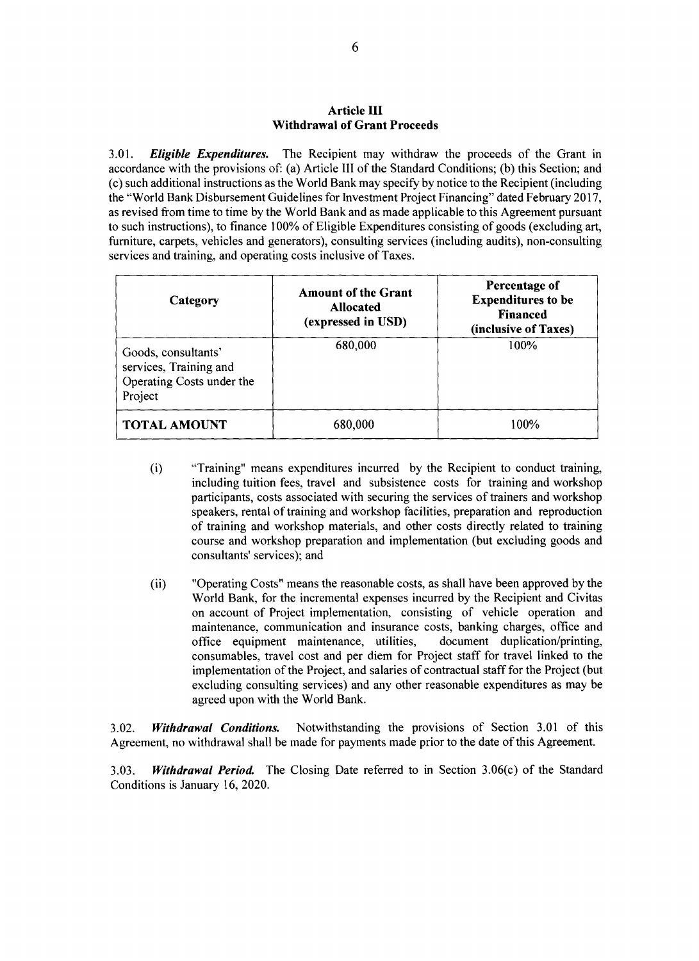#### **Article III Withdrawal of Grant Proceeds**

**3.01.** *Eligible Expenditures.* The Recipient may withdraw the proceeds of the Grant in accordance with the provisions of: (a) Article **III** of the Standard Conditions; **(b)** this Section; and (c) such additional instructions as the World Bank may specify **by** notice to the Recipient (including the "World Bank Disbursement Guidelines for Investment Project Financing" dated February **2017,** as revised from time to time **by** the World Bank and as made applicable to this Agreement pursuant to such instructions), to finance **100%** of Eligible Expenditures consisting of goods (excluding art, furniture, carpets, vehicles and generators), consulting services (including audits), non-consulting services and training, and operating costs inclusive of Taxes.

| Category                                                                              | <b>Amount of the Grant</b><br><b>Allocated</b><br>(expressed in USD) | Percentage of<br><b>Expenditures to be</b><br><b>Financed</b><br>(inclusive of Taxes) |
|---------------------------------------------------------------------------------------|----------------------------------------------------------------------|---------------------------------------------------------------------------------------|
| Goods, consultants'<br>services, Training and<br>Operating Costs under the<br>Project | 680,000                                                              | 100%                                                                                  |
| <b>TOTAL AMOUNT</b>                                                                   | 680,000                                                              | 100%                                                                                  |

- (i) "Training" means expenditures incurred **by** the Recipient to conduct training, including tuition fees, travel and subsistence costs for training and workshop participants, costs associated with securing the services of trainers and workshop speakers, rental of training and workshop facilities, preparation and reproduction of training and workshop materials, and other costs directly related to training course and workshop preparation and implementation (but excluding goods and consultants' services); and
- (ii) "Operating Costs" means the reasonable costs, as shall have been approved **by** the World Bank, for the incremental expenses incurred **by** the Recipient and Civitas on account of Project implementation, consisting of vehicle operation and maintenance, communication and insurance costs, banking charges, office and office equipment maintenance, utilities, document duplication/printing, office equipment maintenance, utilities, consumables, travel cost and per diem for Project staff for travel linked to the implementation of the Project, and salaries of contractual staff for the Project (but excluding consulting services) and any other reasonable expenditures as may be agreed upon with the World Bank.

**3.02.** *Withdrawal Conditions.* Notwithstanding the provisions of Section **3.01** of this Agreement, no withdrawal shall be made for payments made prior to the date of this Agreement.

**3.03.** *Withdrawal Period.* The Closing Date referred to in Section 3.06(c) of the Standard Conditions is January **16,** 2020.